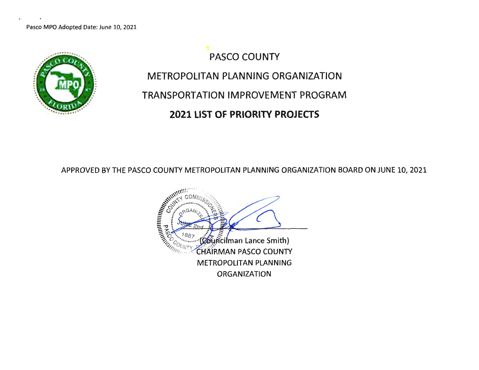

PASCO COUNTY METROPOLITAN PLANNING ORGANIZATION TRANSPORTATION IMPROVEMENT PROGRAM **2021 LIST OF PRIORITY PROJECTS** 

APPROVED BY THE PASCO COUNTY METROPOLITAN PLANNING ORGANIZATION BOARD ON JUNE 10, 2021

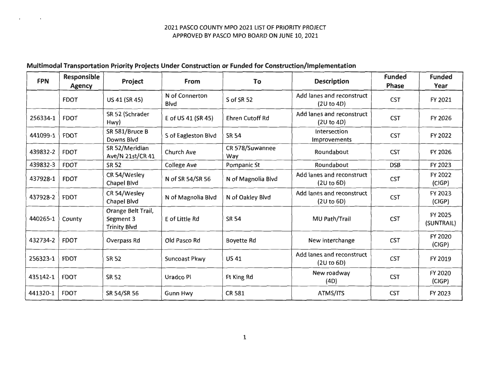### **Multimodal Transportation Priority Projects Under Construction or Funded for Construction/Implementation**

| <b>FPN</b> | <b>Responsible</b><br><b>Agency</b> | Project                                                | <b>From</b>                   | To                     | <b>Description</b>                      | <b>Funded</b><br><b>Phase</b> | <b>Funded</b><br>Year    |
|------------|-------------------------------------|--------------------------------------------------------|-------------------------------|------------------------|-----------------------------------------|-------------------------------|--------------------------|
|            | <b>FDOT</b>                         | US 41 (SR 45)                                          | N of Connerton<br><b>Blvd</b> | S of SR 52             | Add lanes and reconstruct<br>(2U to 4D) | <b>CST</b>                    | FY 2021                  |
| 256334-1   | <b>FDOT</b>                         | SR 52 (Schrader<br>Hwy)                                | E of US 41 (SR 45)            | <b>Ehren Cutoff Rd</b> | Add lanes and reconstruct<br>(2U to 4D) | <b>CST</b>                    | FY 2026                  |
| 441099-1   | <b>FDOT</b>                         | SR 581/Bruce B<br>Downs Blvd                           | S of Eagleston Blvd           | <b>SR 54</b>           | Intersection<br>Improvements            | <b>CST</b>                    | FY 2022                  |
| 439832-2   | <b>FDOT</b>                         | SR 52/Meridian<br>Ave/N 21st/CR 41                     | <b>Church Ave</b>             | CR 578/Suwannee<br>Way | Roundabout                              | <b>CST</b>                    | FY 2026                  |
| 439832-3   | <b>FDOT</b>                         | <b>SR 52</b>                                           | <b>College Ave</b>            | Pompanic St            | Roundabout                              | <b>DSB</b>                    | FY 2023                  |
| 437928-1   | <b>FDOT</b>                         | CR 54/Wesley<br><b>Chapel Blvd</b>                     | N of SR 54/SR 56              | N of Magnolia Blvd     | Add lanes and reconstruct<br>(2U to 6D) | <b>CST</b>                    | FY 2022<br>(CIGP)        |
| 437928-2   | <b>FDOT</b>                         | CR 54/Wesley<br>Chapel Blvd                            | N of Magnolia Blvd            | N of Oakley Blvd       | Add lanes and reconstruct<br>(2U to 6D) | <b>CST</b>                    | FY 2023<br>(CIGP)        |
| 440265-1   | County                              | Orange Belt Trail,<br>Segment 3<br><b>Trinity Blvd</b> | E of Little Rd                | <b>SR 54</b>           | MU Path/Trail                           | <b>CST</b>                    | FY 2025<br>(SUNTRAIL)    |
| 432734-2   | <b>FDOT</b>                         | Overpass Rd                                            | Old Pasco Rd                  | <b>Boyette Rd</b>      | New interchange                         | <b>CST</b>                    | <b>FY 2020</b><br>(CIGP) |
| 256323-1   | <b>FDOT</b>                         | <b>SR 52</b>                                           | Suncoast Pkwy                 | <b>US41</b>            | Add lanes and reconstruct<br>(2U to 6D) | <b>CST</b>                    | FY 2019                  |
| 435142-1   | <b>FDOT</b>                         | <b>SR 52</b>                                           | Uradco Pl                     | Ft King Rd             | New roadway<br>(4D)                     | <b>CST</b>                    | FY 2020<br>(CIGP)        |
| 441320-1   | <b>FDOT</b>                         | SR 54/SR 56                                            | <b>Gunn Hwy</b>               | <b>CR 581</b>          | ATMS/ITS                                | <b>CST</b>                    | FY 2023                  |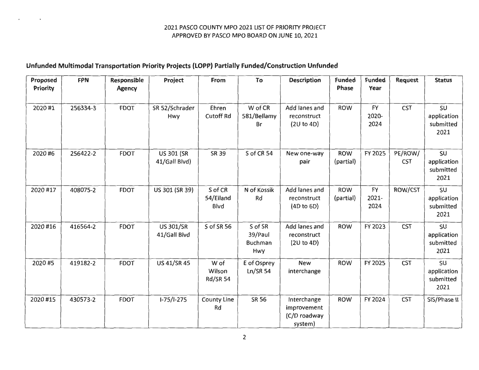# **Unfunded Multimodal Transportation Priority Projects (LOPP} Partially Funded/Construction Unfunded**

| Proposed<br>Priority | <b>FPN</b> | Responsible<br><b>Agency</b> | Project                            | From                                | To                                          | <b>Description</b>                                    | <b>Funded</b><br>Phase  | <b>Funded</b><br>Year         | <b>Request</b>        | <b>Status</b>                          |
|----------------------|------------|------------------------------|------------------------------------|-------------------------------------|---------------------------------------------|-------------------------------------------------------|-------------------------|-------------------------------|-----------------------|----------------------------------------|
| 2020#1               | 256334-3   | <b>FDOT</b>                  | SR 52/Schrader<br>Hwy              | Ehren<br><b>Cutoff Rd</b>           | W of CR<br>581/Bellamy<br>Br                | Add lanes and<br>reconstruct<br>(2U to 4D)            | <b>ROW</b>              | <b>FY</b><br>2020-<br>2024    | <b>CST</b>            | SU<br>application<br>submitted<br>2021 |
| 2020#6               | 256422-2   | <b>FDOT</b>                  | <b>US 301 (SR</b><br>41/Gall Blvd) | <b>SR 39</b>                        | S of CR 54                                  | New one-way<br>pair                                   | <b>ROW</b><br>(partial) | FY 2025                       | PE/ROW/<br><b>CST</b> | SU<br>application<br>submitted<br>2021 |
| 2020 #17             | 408075-2   | <b>FDOT</b>                  | US 301 (SR 39)                     | S of CR<br>54/Eiland<br><b>Blvd</b> | N of Kossik<br>Rd                           | Add lanes and<br>reconstruct<br>(4D to 6D)            | <b>ROW</b><br>(partial) | <b>FY</b><br>$2021 -$<br>2024 | ROW/CST               | SU<br>application<br>submitted<br>2021 |
| 2020#16              | 416564-2   | <b>FDOT</b>                  | <b>US 301/SR</b><br>41/Gall Blvd   | S of SR 56                          | S of SR<br>39/Paul<br><b>Buchman</b><br>Hwy | Add lanes and<br>reconstruct<br>(2U to 4D)            | <b>ROW</b>              | FY 2023                       | <b>CST</b>            | SU<br>application<br>submitted<br>2021 |
| 2020 #5              | 419182-2   | <b>FDOT</b>                  | <b>US 41/SR 45</b>                 | W of<br>Wilson<br><b>Rd/SR 54</b>   | E of Osprey<br>$Ln/SR$ 54                   | <b>New</b><br>interchange                             | <b>ROW</b>              | FY 2025                       | <b>CST</b>            | SU<br>application<br>submitted<br>2021 |
| 2020#15              | 430573-2   | <b>FDOT</b>                  | $I-75/I-275$                       | <b>County Line</b><br>Rd            | <b>SR 56</b>                                | Interchange<br>improvement<br>(C/D roadway<br>system) | <b>ROW</b>              | FY 2024                       | <b>CST</b>            | SIS/Phase II                           |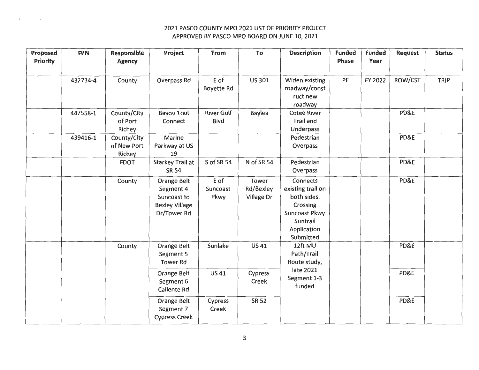| Proposed<br>Priority | <b>FPN</b> | Responsible<br><b>Agency</b>         | Project                                                                         | From                      | To                               | <b>Description</b>                                                                                                       | <b>Funded</b><br>Phase | <b>Funded</b><br>Year | Request | <b>Status</b> |
|----------------------|------------|--------------------------------------|---------------------------------------------------------------------------------|---------------------------|----------------------------------|--------------------------------------------------------------------------------------------------------------------------|------------------------|-----------------------|---------|---------------|
|                      | 432734-4   | County                               | Overpass Rd                                                                     | E of<br><b>Boyette Rd</b> | <b>US 301</b>                    | Widen existing<br>roadway/const<br>ruct new<br>roadway                                                                   | PE                     | FY 2022               | ROW/CST | <b>TRIP</b>   |
|                      | 447558-1   | County/City<br>of Port<br>Richey     | <b>Bayou Trail</b><br>Connect                                                   | <b>River Gulf</b><br>Blvd | Baylea                           | <b>Cotee River</b><br>Trail and<br>Underpass                                                                             |                        |                       | PD&E    |               |
|                      | 439416-1   | County/City<br>of New Port<br>Richey | Marine<br>Parkway at US<br>19                                                   |                           |                                  | Pedestrian<br>Overpass                                                                                                   |                        |                       | PD&E    |               |
|                      |            | <b>FDOT</b>                          | Starkey Trail at<br><b>SR 54</b>                                                | S of SR 54                | N of SR 54                       | Pedestrian<br>Overpass                                                                                                   |                        |                       | PD&E    |               |
|                      |            | County                               | Orange Belt<br>Segment 4<br>Suncoast to<br><b>Bexley Village</b><br>Dr/Tower Rd | E of<br>Suncoast<br>Pkwy  | Tower<br>Rd/Bexley<br>Village Dr | <b>Connects</b><br>existing trail on<br>both sides.<br>Crossing<br>Suncoast Pkwy<br>Suntrail<br>Application<br>Submitted |                        |                       | PD&E    |               |
|                      |            | County                               | Orange Belt<br>Segment 5<br><b>Tower Rd</b>                                     | Sunlake                   | <b>US41</b>                      | 12ft MU<br>Path/Trail<br>Route study,                                                                                    |                        |                       | PD&E    |               |
|                      |            |                                      | Orange Belt<br>Segment 6<br>Caliente Rd                                         | <b>US41</b>               | Cypress<br>Creek                 | late 2021<br>Segment 1-3<br>funded                                                                                       |                        |                       | PD&E    |               |
|                      |            |                                      | Orange Belt<br>Segment 7<br><b>Cypress Creek</b>                                | Cypress<br>Creek          | <b>SR 52</b>                     |                                                                                                                          |                        |                       | PD&E    |               |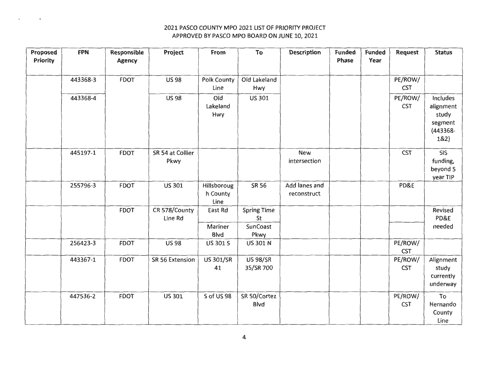| Proposed<br>Priority | <b>FPN</b> | Responsible<br><b>Agency</b> | Project          | From                   | To                           | <b>Description</b> | <b>Funded</b><br>Phase | <b>Funded</b><br>Year | <b>Request</b>        | <b>Status</b>      |
|----------------------|------------|------------------------------|------------------|------------------------|------------------------------|--------------------|------------------------|-----------------------|-----------------------|--------------------|
|                      |            |                              |                  |                        |                              |                    |                        |                       |                       |                    |
|                      | 443368-3   | <b>FDOT</b>                  | <b>US98</b>      | <b>Polk County</b>     | Old Lakeland                 |                    |                        |                       | PE/ROW/               |                    |
|                      |            |                              |                  | Line                   | Hwy                          |                    |                        |                       | <b>CST</b>            |                    |
|                      | 443368-4   |                              | <b>US 98</b>     | Old                    | US 301                       |                    |                        |                       | PE/ROW/               | Includes           |
|                      |            |                              |                  | Lakeland               |                              |                    |                        |                       | <b>CST</b>            | alignment          |
|                      |            |                              |                  | Hwy                    |                              |                    |                        |                       |                       | study              |
|                      |            |                              |                  |                        |                              |                    |                        |                       |                       | segment            |
|                      |            |                              |                  |                        |                              |                    |                        |                       |                       | (443368-<br>182)   |
|                      |            |                              |                  |                        |                              |                    |                        |                       |                       |                    |
|                      | 445197-1   | <b>FDOT</b>                  | SR 54 at Collier |                        |                              | <b>New</b>         |                        |                       | <b>CST</b>            | <b>SIS</b>         |
|                      |            |                              | Pkwy             |                        |                              | intersection       |                        |                       |                       | funding,           |
|                      |            |                              |                  |                        |                              |                    |                        |                       |                       | beyond 5           |
|                      | 255796-3   | <b>FDOT</b>                  | US 301           | Hillsboroug            | <b>SR 56</b>                 | Add lanes and      |                        |                       | PD&E                  | year TIP           |
|                      |            |                              |                  | h County               |                              | reconstruct        |                        |                       |                       |                    |
|                      |            |                              |                  | Line                   |                              |                    |                        |                       |                       |                    |
|                      |            | <b>FDOT</b>                  | CR 578/County    | East Rd                | <b>Spring Time</b>           |                    |                        |                       |                       | Revised            |
|                      |            |                              | Line Rd          |                        | St                           |                    |                        |                       |                       | PD&E               |
|                      |            |                              |                  | Mariner                | SunCoast                     |                    |                        |                       |                       | needed             |
|                      |            |                              |                  | <b>Blvd</b>            | Pkwy                         |                    |                        |                       |                       |                    |
|                      | 256423-3   | <b>FDOT</b>                  | <b>US98</b>      | US 301 S               | <b>US 301 N</b>              |                    |                        |                       | PE/ROW/               |                    |
|                      |            |                              |                  |                        |                              |                    |                        |                       | <b>CST</b>            |                    |
|                      | 443367-1   | <b>FDOT</b>                  | SR 56 Extension  | <b>US 301/SR</b><br>41 | <b>US 98/SR</b><br>35/SR 700 |                    |                        |                       | PE/ROW/<br><b>CST</b> | Alignment<br>study |
|                      |            |                              |                  |                        |                              |                    |                        |                       |                       | currently          |
|                      |            |                              |                  |                        |                              |                    |                        |                       |                       | underway           |
|                      |            |                              |                  |                        |                              |                    |                        |                       |                       |                    |
|                      | 447536-2   | <b>FDOT</b>                  | <b>US 301</b>    | S of US 98             | SR 50/Cortez<br>Blvd         |                    |                        |                       | PE/ROW/<br><b>CST</b> | To<br>Hernando     |
|                      |            |                              |                  |                        |                              |                    |                        |                       |                       | County             |
|                      |            |                              |                  |                        |                              |                    |                        |                       |                       | Line               |
|                      |            |                              |                  |                        |                              |                    |                        |                       |                       |                    |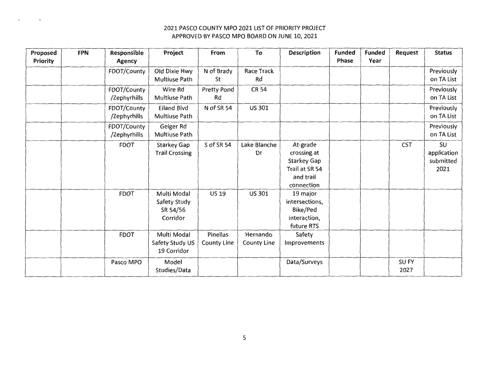| Proposed        | <b>FPN</b> | <b>Responsible</b> | Project               | From               | To                 | <b>Description</b> | <b>Funded</b> | <b>Funded</b> | <b>Request</b> | <b>Status</b> |
|-----------------|------------|--------------------|-----------------------|--------------------|--------------------|--------------------|---------------|---------------|----------------|---------------|
| <b>Priority</b> |            | <b>Agency</b>      |                       |                    |                    |                    | Phase         | Year          |                |               |
|                 |            | FDOT/County        | Old Dixie Hwy         | N of Brady         | Race Track         |                    |               |               |                | Previously    |
|                 |            |                    | Multiuse Path         | St                 | Rd                 |                    |               |               |                | on TA List    |
|                 |            | FDOT/County        | Wire Rd               | Pretty Pond        | <b>CR 54</b>       |                    |               |               |                | Previously    |
|                 |            | /Zephyrhills       | Multiuse Path         | Rd                 |                    |                    |               |               |                | on TA List    |
|                 |            | FDOT/County        | <b>Eiland Blvd</b>    | N of SR 54         | <b>US 301</b>      |                    |               |               |                | Previously    |
|                 |            | /Zephyrhills       | Multiuse Path         |                    |                    |                    |               |               |                | on TA List    |
|                 |            | FDOT/County        | Geiger Rd             |                    |                    |                    |               |               |                | Previously    |
|                 |            | /Zephyrhills       | Multiuse Path         |                    |                    |                    |               |               |                | on TA List    |
|                 |            | <b>FDOT</b>        | Starkey Gap           | S of SR 54         | Lake Blanche       | At-grade           |               |               | <b>CST</b>     | SU            |
|                 |            |                    | <b>Trail Crossing</b> |                    | Dr                 | crossing at        |               |               |                | application   |
|                 |            |                    |                       |                    |                    | <b>Starkey Gap</b> |               |               |                | submitted     |
|                 |            |                    |                       |                    |                    | Trail at SR 54     |               |               |                | 2021          |
|                 |            |                    |                       |                    |                    | and trail          |               |               |                |               |
|                 |            |                    |                       |                    |                    | connection         |               |               |                |               |
|                 |            | <b>FDOT</b>        | Multi Modal           | <b>US 19</b>       | <b>US 301</b>      | 19 major           |               |               |                |               |
|                 |            |                    | Safety Study          |                    |                    | intersections,     |               |               |                |               |
|                 |            |                    | SR 54/56              |                    |                    | Bike/Ped           |               |               |                |               |
|                 |            |                    | Corridor              |                    |                    | interaction,       |               |               |                |               |
|                 |            |                    |                       |                    |                    | future RTS         |               |               |                |               |
|                 |            | <b>FDOT</b>        | Multi Modal           | <b>Pinellas</b>    | Hernando           | Safety             |               |               |                |               |
|                 |            |                    | Safety Study US       | <b>County Line</b> | <b>County Line</b> | Improvements       |               |               |                |               |
|                 |            |                    | 19 Corridor           |                    |                    |                    |               |               |                |               |
|                 |            | Pasco MPO          | Model                 |                    |                    | Data/Surveys       |               |               | SU FY          |               |
|                 |            |                    | Studies/Data          |                    |                    |                    |               |               | 2027           |               |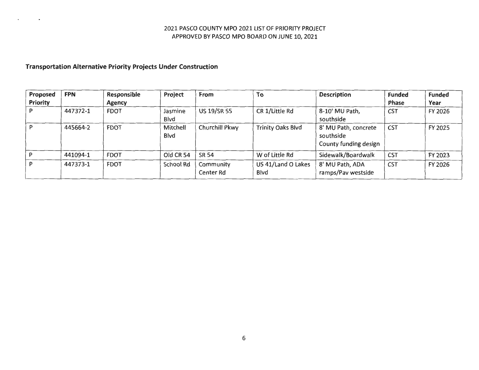### **Transportation Alternative Priority Projects Under Construction**

| Proposed<br>Priority | <b>FPN</b> | Responsible<br><b>Agency</b> | Project          | From                   | To                                 | <b>Description</b>                                         | <b>Funded</b><br>Phase | <b>Funded</b><br>Year |
|----------------------|------------|------------------------------|------------------|------------------------|------------------------------------|------------------------------------------------------------|------------------------|-----------------------|
|                      | 447372-1   | <b>FDOT</b>                  | Jasmine<br>Blvd  | <b>US 19/SR 55</b>     | CR 1/Little Rd                     | 8-10' MU Path,<br>southside                                | <b>CST</b>             | FY 2026               |
|                      | 445664-2   | <b>FDOT</b>                  | Mitchell<br>Blvd | Churchill Pkwy         | <b>Trinity Oaks Blvd</b>           | 8' MU Path, concrete<br>southside<br>County funding design | <b>CST</b>             | FY 2025               |
|                      | 441094-1   | <b>FDOT</b>                  | Old CR 54        | SR 54                  | W of Little Rd                     | Sidewalk/Boardwalk                                         | <b>CST</b>             | FY 2023               |
|                      | 447373-1   | <b>FDOT</b>                  | <b>School Rd</b> | Community<br>Center Rd | US 41/Land O Lakes<br><b>B</b> lvd | 8' MU Path, ADA<br>ramps/Pav westside                      | <b>CST</b>             | FY 2026               |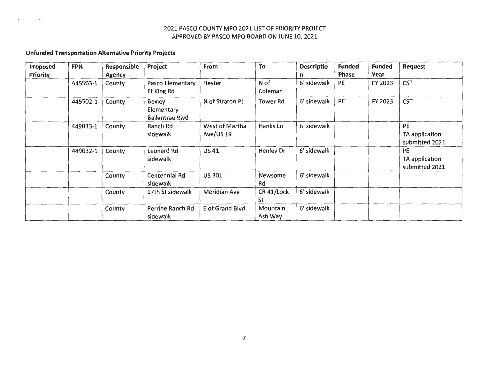### **Unfunded Transportation Alternative Priority Projects**

| Proposed        | <b>FPN</b> | Responsible   | Project                | From            | To               | <b>Descriptio</b> | <b>Funded</b> | <b>Funded</b> | <b>Request</b> |
|-----------------|------------|---------------|------------------------|-----------------|------------------|-------------------|---------------|---------------|----------------|
| <b>Priority</b> |            | <b>Agency</b> |                        |                 |                  | n                 | <b>Phase</b>  | Year          |                |
|                 | 445503-1   | County        | Pasco Elementary       | Hester          | N of             | 6' sidewalk       | PE            | FY 2023       | <b>CST</b>     |
|                 |            |               | Ft King Rd             |                 | Coleman          |                   |               |               |                |
|                 | 445502-1   | County        | <b>Bexley</b>          | N of Straton Pl | <b>Tower Rd</b>  | 6' sidewalk       | PE            | FY 2023       | <b>CST</b>     |
|                 |            |               | Elementary             |                 |                  |                   |               |               |                |
|                 |            |               | <b>Ballentrae Blvd</b> |                 |                  |                   |               |               |                |
|                 | 449033-1   | County        | Ranch Rd               | West of Martha  | Hanks Ln         | 6' sidewalk       |               |               | PE             |
|                 |            |               | sidewalk               | Ave/US 19       |                  |                   |               |               | TA application |
|                 |            |               |                        |                 |                  |                   |               |               | submitted 2021 |
|                 | 449032-1   | County        | Leonard Rd             | <b>US41</b>     | <b>Henley Dr</b> | 6' sidewalk       |               |               | PE             |
|                 |            |               | sidewalk               |                 |                  |                   |               |               | TA application |
|                 |            |               |                        |                 |                  |                   |               |               | submitted 2021 |
|                 |            | County        | Centennial Rd          | <b>US 301</b>   | <b>Newsome</b>   | 6' sidewalk       |               |               |                |
|                 |            |               | sidewalk               |                 | Rd               |                   |               |               |                |
|                 |            | County        | 17th St sidewalk       | Meridian Ave    | CR 41/Lock       | 6' sidewalk       |               |               |                |
|                 |            |               |                        |                 | St               |                   |               |               |                |
|                 |            | County        | Perrine Ranch Rd       | E of Grand Blvd | Mountain         | 6' sidewalk       |               |               |                |
|                 |            |               | sidewalk               |                 | Ash Way          |                   |               |               |                |